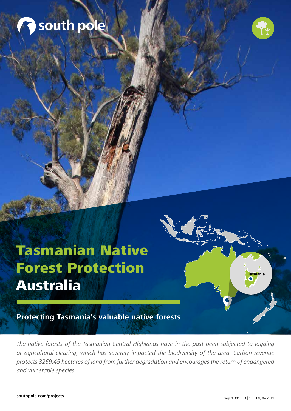



# Tasmanian Native Forest Protection Australia

**Protecting Tasmania's valuable native forests**

The native forests of the Tasmanian Central Highlands have in the past been subjected to logging or agricultural clearing, which has severely impacted the biodiversity of the area. Carbon revenue protects 3269.45 hectares of land from further degradation and encourages the return of endangered and vulnerable species.

**Tasmania**